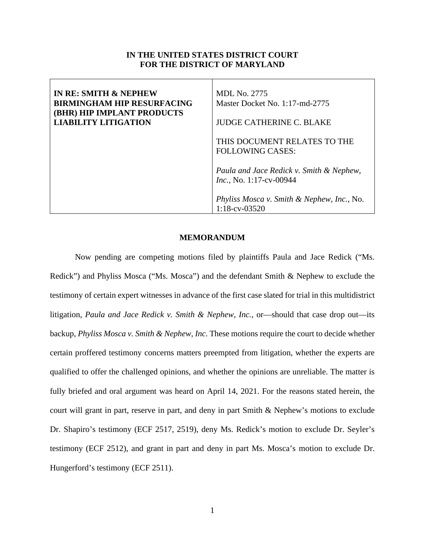## **IN THE UNITED STATES DISTRICT COURT FOR THE DISTRICT OF MARYLAND**

| <b>IN RE: SMITH &amp; NEPHEW</b><br><b>BIRMINGHAM HIP RESURFACING</b><br><b>(BHR) HIP IMPLANT PRODUCTS</b><br><b>LIABILITY LITIGATION</b> | MDL No. 2775<br>Master Docket No. 1:17-md-2775<br><b>JUDGE CATHERINE C. BLAKE</b> |
|-------------------------------------------------------------------------------------------------------------------------------------------|-----------------------------------------------------------------------------------|
|                                                                                                                                           | THIS DOCUMENT RELATES TO THE<br><b>FOLLOWING CASES:</b>                           |
|                                                                                                                                           | Paula and Jace Redick v. Smith & Nephew,<br><i>Inc.</i> , No. 1:17-cv-00944       |
|                                                                                                                                           | Phyliss Mosca v. Smith & Nephew, Inc., No.<br>$1:18$ -cv-03520                    |

### **MEMORANDUM**

Now pending are competing motions filed by plaintiffs Paula and Jace Redick ("Ms. Redick") and Phyliss Mosca ("Ms. Mosca") and the defendant Smith & Nephew to exclude the testimony of certain expert witnesses in advance of the first case slated for trial in this multidistrict litigation, *Paula and Jace Redick v. Smith & Nephew, Inc.*, or—should that case drop out—its backup, *Phyliss Mosca v. Smith & Nephew, Inc*. These motions require the court to decide whether certain proffered testimony concerns matters preempted from litigation, whether the experts are qualified to offer the challenged opinions, and whether the opinions are unreliable. The matter is fully briefed and oral argument was heard on April 14, 2021. For the reasons stated herein, the court will grant in part, reserve in part, and deny in part Smith & Nephew's motions to exclude Dr. Shapiro's testimony (ECF 2517, 2519), deny Ms. Redick's motion to exclude Dr. Seyler's testimony (ECF 2512), and grant in part and deny in part Ms. Mosca's motion to exclude Dr. Hungerford's testimony (ECF 2511).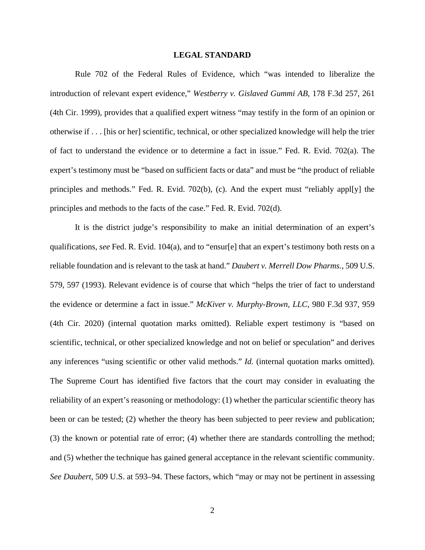#### **LEGAL STANDARD**

Rule 702 of the Federal Rules of Evidence, which "was intended to liberalize the introduction of relevant expert evidence," *Westberry v. Gislaved Gummi AB*, 178 F.3d 257, 261 (4th Cir. 1999), provides that a qualified expert witness "may testify in the form of an opinion or otherwise if . . . [his or her] scientific, technical, or other specialized knowledge will help the trier of fact to understand the evidence or to determine a fact in issue." Fed. R. Evid. 702(a). The expert's testimony must be "based on sufficient facts or data" and must be "the product of reliable principles and methods." Fed. R. Evid. 702(b), (c). And the expert must "reliably appl[y] the principles and methods to the facts of the case." Fed. R. Evid. 702(d).

It is the district judge's responsibility to make an initial determination of an expert's qualifications, *see* Fed. R. Evid. 104(a), and to "ensur[e] that an expert's testimony both rests on a reliable foundation and is relevant to the task at hand." *Daubert v. Merrell Dow Pharms.*, 509 U.S. 579, 597 (1993). Relevant evidence is of course that which "helps the trier of fact to understand the evidence or determine a fact in issue." *McKiver v. Murphy-Brown, LLC*, 980 F.3d 937, 959 (4th Cir. 2020) (internal quotation marks omitted). Reliable expert testimony is "based on scientific, technical, or other specialized knowledge and not on belief or speculation" and derives any inferences "using scientific or other valid methods." *Id.* (internal quotation marks omitted). The Supreme Court has identified five factors that the court may consider in evaluating the reliability of an expert's reasoning or methodology: (1) whether the particular scientific theory has been or can be tested; (2) whether the theory has been subjected to peer review and publication; (3) the known or potential rate of error; (4) whether there are standards controlling the method; and (5) whether the technique has gained general acceptance in the relevant scientific community. *See Daubert*, 509 U.S. at 593–94. These factors, which "may or may not be pertinent in assessing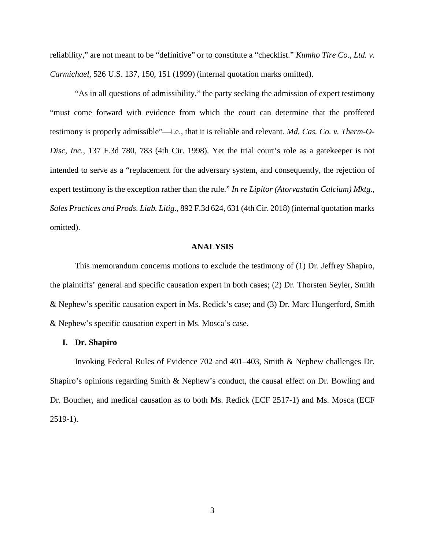reliability," are not meant to be "definitive" or to constitute a "checklist." *Kumho Tire Co., Ltd. v. Carmichael*, 526 U.S. 137, 150, 151 (1999) (internal quotation marks omitted).

"As in all questions of admissibility," the party seeking the admission of expert testimony "must come forward with evidence from which the court can determine that the proffered testimony is properly admissible"—i.e., that it is reliable and relevant. *Md. Cas. Co. v. Therm-O-Disc, Inc.*, 137 F.3d 780, 783 (4th Cir. 1998). Yet the trial court's role as a gatekeeper is not intended to serve as a "replacement for the adversary system, and consequently, the rejection of expert testimony is the exception rather than the rule." *In re Lipitor (Atorvastatin Calcium) Mktg., Sales Practices and Prods. Liab. Litig*., 892 F.3d 624, 631 (4th Cir. 2018) (internal quotation marks omitted).

## **ANALYSIS**

This memorandum concerns motions to exclude the testimony of (1) Dr. Jeffrey Shapiro, the plaintiffs' general and specific causation expert in both cases; (2) Dr. Thorsten Seyler, Smith & Nephew's specific causation expert in Ms. Redick's case; and (3) Dr. Marc Hungerford, Smith & Nephew's specific causation expert in Ms. Mosca's case.

### **I. Dr. Shapiro**

Invoking Federal Rules of Evidence 702 and 401–403, Smith & Nephew challenges Dr. Shapiro's opinions regarding Smith & Nephew's conduct, the causal effect on Dr. Bowling and Dr. Boucher, and medical causation as to both Ms. Redick (ECF 2517-1) and Ms. Mosca (ECF 2519-1).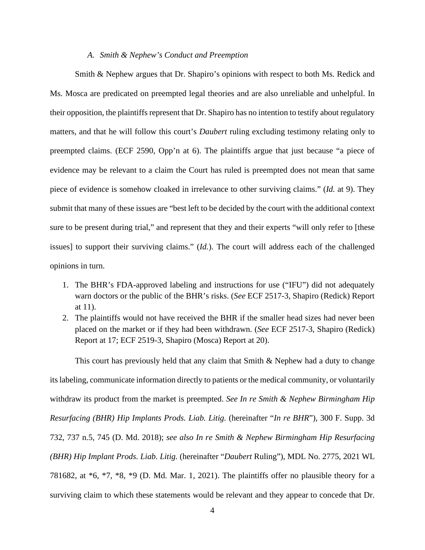## *A. Smith & Nephew's Conduct and Preemption*

Smith & Nephew argues that Dr. Shapiro's opinions with respect to both Ms. Redick and Ms. Mosca are predicated on preempted legal theories and are also unreliable and unhelpful. In their opposition, the plaintiffs represent that Dr. Shapiro has no intention to testify about regulatory matters, and that he will follow this court's *Daubert* ruling excluding testimony relating only to preempted claims. (ECF 2590, Opp'n at 6). The plaintiffs argue that just because "a piece of evidence may be relevant to a claim the Court has ruled is preempted does not mean that same piece of evidence is somehow cloaked in irrelevance to other surviving claims." (*Id.* at 9). They submit that many of these issues are "best left to be decided by the court with the additional context sure to be present during trial," and represent that they and their experts "will only refer to [these issues] to support their surviving claims." (*Id.*). The court will address each of the challenged opinions in turn.

- 1. The BHR's FDA-approved labeling and instructions for use ("IFU") did not adequately warn doctors or the public of the BHR's risks. (*See* ECF 2517-3, Shapiro (Redick) Report at 11).
- 2. The plaintiffs would not have received the BHR if the smaller head sizes had never been placed on the market or if they had been withdrawn. (*See* ECF 2517-3, Shapiro (Redick) Report at 17; ECF 2519-3, Shapiro (Mosca) Report at 20).

This court has previously held that any claim that Smith & Nephew had a duty to change its labeling, communicate information directly to patients or the medical community, or voluntarily withdraw its product from the market is preempted. *See In re Smith & Nephew Birmingham Hip Resurfacing (BHR) Hip Implants Prods. Liab. Litig.* (hereinafter "*In re BHR*")*,* 300 F. Supp. 3d 732, 737 n.5, 745 (D. Md. 2018); *see also In re Smith & Nephew Birmingham Hip Resurfacing (BHR) Hip Implant Prods. Liab. Litig.* (hereinafter "*Daubert* Ruling"), MDL No. 2775, 2021 WL 781682, at \*6, \*7, \*8, \*9 (D. Md. Mar. 1, 2021). The plaintiffs offer no plausible theory for a surviving claim to which these statements would be relevant and they appear to concede that Dr.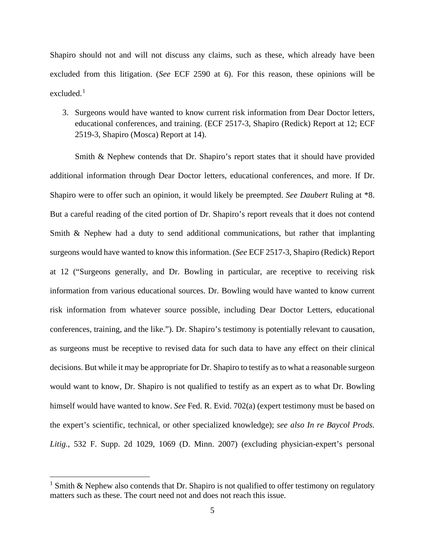Shapiro should not and will not discuss any claims, such as these, which already have been excluded from this litigation. (*See* ECF 2590 at 6). For this reason, these opinions will be excluded $<sup>1</sup>$  $<sup>1</sup>$  $<sup>1</sup>$ </sup>

3. Surgeons would have wanted to know current risk information from Dear Doctor letters, educational conferences, and training. (ECF 2517-3, Shapiro (Redick) Report at 12; ECF 2519-3, Shapiro (Mosca) Report at 14).

Smith & Nephew contends that Dr. Shapiro's report states that it should have provided additional information through Dear Doctor letters, educational conferences, and more. If Dr. Shapiro were to offer such an opinion, it would likely be preempted. *See Daubert* Ruling at \*8. But a careful reading of the cited portion of Dr. Shapiro's report reveals that it does not contend Smith & Nephew had a duty to send additional communications, but rather that implanting surgeons would have wanted to know this information. (*See* ECF 2517-3, Shapiro (Redick) Report at 12 ("Surgeons generally, and Dr. Bowling in particular, are receptive to receiving risk information from various educational sources. Dr. Bowling would have wanted to know current risk information from whatever source possible, including Dear Doctor Letters, educational conferences, training, and the like."). Dr. Shapiro's testimony is potentially relevant to causation, as surgeons must be receptive to revised data for such data to have any effect on their clinical decisions. But while it may be appropriate for Dr. Shapiro to testify as to what a reasonable surgeon would want to know, Dr. Shapiro is not qualified to testify as an expert as to what Dr. Bowling himself would have wanted to know. *See* Fed. R. Evid. 702(a) (expert testimony must be based on the expert's scientific, technical, or other specialized knowledge); *see also In re Baycol Prods. Litig.*, 532 F. Supp. 2d 1029, 1069 (D. Minn. 2007) (excluding physician-expert's personal

<span id="page-4-0"></span><sup>&</sup>lt;sup>1</sup> Smith & Nephew also contends that Dr. Shapiro is not qualified to offer testimony on regulatory matters such as these. The court need not and does not reach this issue.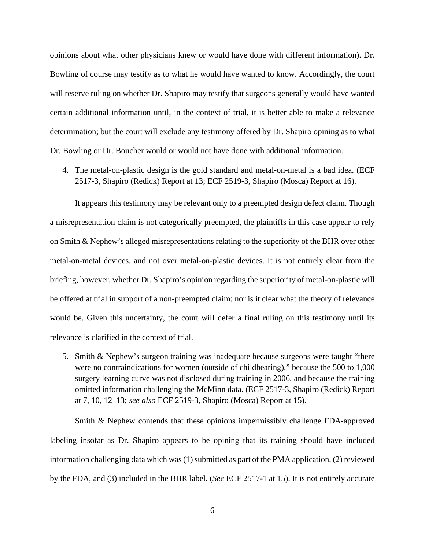opinions about what other physicians knew or would have done with different information). Dr. Bowling of course may testify as to what he would have wanted to know. Accordingly, the court will reserve ruling on whether Dr. Shapiro may testify that surgeons generally would have wanted certain additional information until, in the context of trial, it is better able to make a relevance determination; but the court will exclude any testimony offered by Dr. Shapiro opining as to what Dr. Bowling or Dr. Boucher would or would not have done with additional information.

4. The metal-on-plastic design is the gold standard and metal-on-metal is a bad idea. (ECF 2517-3, Shapiro (Redick) Report at 13; ECF 2519-3, Shapiro (Mosca) Report at 16).

It appears this testimony may be relevant only to a preempted design defect claim. Though a misrepresentation claim is not categorically preempted, the plaintiffs in this case appear to rely on Smith & Nephew's alleged misrepresentations relating to the superiority of the BHR over other metal-on-metal devices, and not over metal-on-plastic devices. It is not entirely clear from the briefing, however, whether Dr. Shapiro's opinion regarding the superiority of metal-on-plastic will be offered at trial in support of a non-preempted claim; nor is it clear what the theory of relevance would be. Given this uncertainty, the court will defer a final ruling on this testimony until its relevance is clarified in the context of trial.

5. Smith & Nephew's surgeon training was inadequate because surgeons were taught "there were no contraindications for women (outside of childbearing)," because the 500 to 1,000 surgery learning curve was not disclosed during training in 2006, and because the training omitted information challenging the McMinn data. (ECF 2517-3, Shapiro (Redick) Report at 7, 10, 12–13; *see also* ECF 2519-3, Shapiro (Mosca) Report at 15).

Smith & Nephew contends that these opinions impermissibly challenge FDA-approved labeling insofar as Dr. Shapiro appears to be opining that its training should have included information challenging data which was  $(1)$  submitted as part of the PMA application,  $(2)$  reviewed by the FDA, and (3) included in the BHR label. (*See* ECF 2517-1 at 15). It is not entirely accurate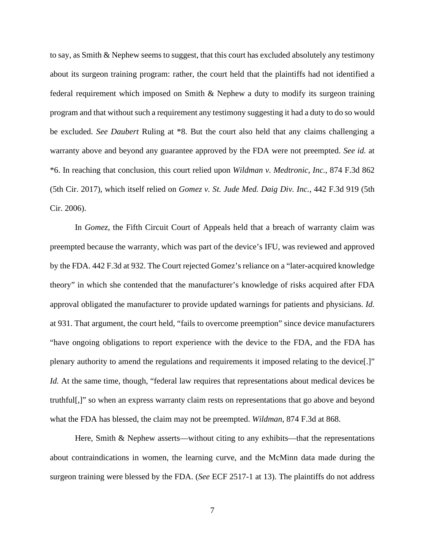to say, as Smith & Nephew seems to suggest, that this court has excluded absolutely any testimony about its surgeon training program: rather, the court held that the plaintiffs had not identified a federal requirement which imposed on Smith & Nephew a duty to modify its surgeon training program and that without such a requirement any testimony suggesting it had a duty to do so would be excluded. *See Daubert* Ruling at \*8. But the court also held that any claims challenging a warranty above and beyond any guarantee approved by the FDA were not preempted. *See id.* at \*6. In reaching that conclusion, this court relied upon *Wildman v. Medtronic, Inc.*, 874 F.3d 862 (5th Cir. 2017), which itself relied on *Gomez v. St. Jude Med. Daig Div. Inc.*, 442 F.3d 919 (5th Cir. 2006).

In *Gomez*, the Fifth Circuit Court of Appeals held that a breach of warranty claim was preempted because the warranty, which was part of the device's IFU, was reviewed and approved by the FDA. 442 F.3d at 932. The Court rejected Gomez's reliance on a "later-acquired knowledge theory" in which she contended that the manufacturer's knowledge of risks acquired after FDA approval obligated the manufacturer to provide updated warnings for patients and physicians. *Id.* at 931. That argument, the court held, "fails to overcome preemption" since device manufacturers "have ongoing obligations to report experience with the device to the FDA, and the FDA has plenary authority to amend the regulations and requirements it imposed relating to the device[.]" *Id.* At the same time, though, "federal law requires that representations about medical devices be truthful[,]" so when an express warranty claim rests on representations that go above and beyond what the FDA has blessed, the claim may not be preempted. *Wildman*, 874 F.3d at 868.

Here, Smith  $\&$  Nephew asserts—without citing to any exhibits—that the representations about contraindications in women, the learning curve, and the McMinn data made during the surgeon training were blessed by the FDA. (*See* ECF 2517-1 at 13). The plaintiffs do not address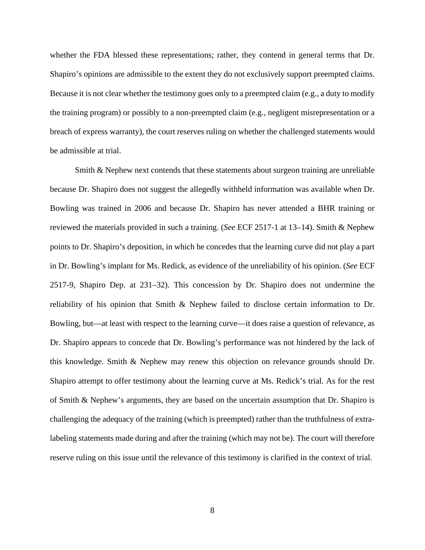whether the FDA blessed these representations; rather, they contend in general terms that Dr. Shapiro's opinions are admissible to the extent they do not exclusively support preempted claims. Because it is not clear whether the testimony goes only to a preempted claim (e.g., a duty to modify the training program) or possibly to a non-preempted claim (e.g., negligent misrepresentation or a breach of express warranty), the court reserves ruling on whether the challenged statements would be admissible at trial.

Smith & Nephew next contends that these statements about surgeon training are unreliable because Dr. Shapiro does not suggest the allegedly withheld information was available when Dr. Bowling was trained in 2006 and because Dr. Shapiro has never attended a BHR training or reviewed the materials provided in such a training. (*See* ECF 2517-1 at 13–14). Smith & Nephew points to Dr. Shapiro's deposition, in which he concedes that the learning curve did not play a part in Dr. Bowling's implant for Ms. Redick, as evidence of the unreliability of his opinion. (*See* ECF 2517-9, Shapiro Dep. at 231–32). This concession by Dr. Shapiro does not undermine the reliability of his opinion that Smith & Nephew failed to disclose certain information to Dr. Bowling, but—at least with respect to the learning curve—it does raise a question of relevance, as Dr. Shapiro appears to concede that Dr. Bowling's performance was not hindered by the lack of this knowledge. Smith & Nephew may renew this objection on relevance grounds should Dr. Shapiro attempt to offer testimony about the learning curve at Ms. Redick's trial. As for the rest of Smith & Nephew's arguments, they are based on the uncertain assumption that Dr. Shapiro is challenging the adequacy of the training (which is preempted) rather than the truthfulness of extralabeling statements made during and after the training (which may not be). The court will therefore reserve ruling on this issue until the relevance of this testimony is clarified in the context of trial.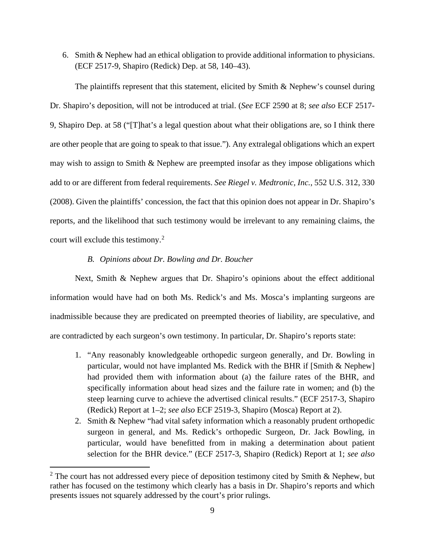6. Smith & Nephew had an ethical obligation to provide additional information to physicians. (ECF 2517-9, Shapiro (Redick) Dep. at 58, 140–43).

The plaintiffs represent that this statement, elicited by Smith & Nephew's counsel during Dr. Shapiro's deposition, will not be introduced at trial. (*See* ECF 2590 at 8; *see also* ECF 2517- 9, Shapiro Dep. at 58 ("[T]hat's a legal question about what their obligations are, so I think there are other people that are going to speak to that issue."). Any extralegal obligations which an expert may wish to assign to Smith & Nephew are preempted insofar as they impose obligations which add to or are different from federal requirements. *See Riegel v. Medtronic, Inc.*, 552 U.S. 312, 330 (2008). Given the plaintiffs' concession, the fact that this opinion does not appear in Dr. Shapiro's reports, and the likelihood that such testimony would be irrelevant to any remaining claims, the court will exclude this testimony. [2](#page-8-0)

## *B. Opinions about Dr. Bowling and Dr. Boucher*

Next, Smith & Nephew argues that Dr. Shapiro's opinions about the effect additional information would have had on both Ms. Redick's and Ms. Mosca's implanting surgeons are inadmissible because they are predicated on preempted theories of liability, are speculative, and are contradicted by each surgeon's own testimony. In particular, Dr. Shapiro's reports state:

- 1. "Any reasonably knowledgeable orthopedic surgeon generally, and Dr. Bowling in particular, would not have implanted Ms. Redick with the BHR if [Smith & Nephew] had provided them with information about (a) the failure rates of the BHR, and specifically information about head sizes and the failure rate in women; and (b) the steep learning curve to achieve the advertised clinical results." (ECF 2517-3, Shapiro (Redick) Report at 1–2; *see also* ECF 2519-3, Shapiro (Mosca) Report at 2).
- 2. Smith & Nephew "had vital safety information which a reasonably prudent orthopedic surgeon in general, and Ms. Redick's orthopedic Surgeon, Dr. Jack Bowling, in particular, would have benefitted from in making a determination about patient selection for the BHR device." (ECF 2517-3, Shapiro (Redick) Report at 1; *see also*

<span id="page-8-0"></span> $2$  The court has not addressed every piece of deposition testimony cited by Smith & Nephew, but rather has focused on the testimony which clearly has a basis in Dr. Shapiro's reports and which presents issues not squarely addressed by the court's prior rulings.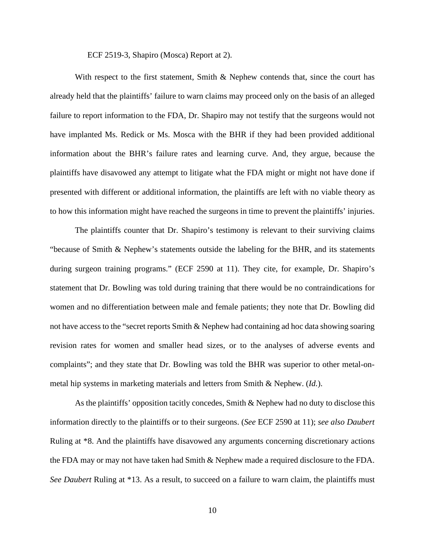ECF 2519-3, Shapiro (Mosca) Report at 2).

With respect to the first statement, Smith & Nephew contends that, since the court has already held that the plaintiffs' failure to warn claims may proceed only on the basis of an alleged failure to report information to the FDA, Dr. Shapiro may not testify that the surgeons would not have implanted Ms. Redick or Ms. Mosca with the BHR if they had been provided additional information about the BHR's failure rates and learning curve. And, they argue, because the plaintiffs have disavowed any attempt to litigate what the FDA might or might not have done if presented with different or additional information, the plaintiffs are left with no viable theory as to how this information might have reached the surgeons in time to prevent the plaintiffs' injuries.

The plaintiffs counter that Dr. Shapiro's testimony is relevant to their surviving claims "because of Smith & Nephew's statements outside the labeling for the BHR, and its statements during surgeon training programs." (ECF 2590 at 11). They cite, for example, Dr. Shapiro's statement that Dr. Bowling was told during training that there would be no contraindications for women and no differentiation between male and female patients; they note that Dr. Bowling did not have access to the "secret reports Smith & Nephew had containing ad hoc data showing soaring revision rates for women and smaller head sizes, or to the analyses of adverse events and complaints"; and they state that Dr. Bowling was told the BHR was superior to other metal-onmetal hip systems in marketing materials and letters from Smith & Nephew. (*Id.*).

As the plaintiffs' opposition tacitly concedes, Smith & Nephew had no duty to disclose this information directly to the plaintiffs or to their surgeons. (*See* ECF 2590 at 11); *see also Daubert* Ruling at \*8. And the plaintiffs have disavowed any arguments concerning discretionary actions the FDA may or may not have taken had Smith & Nephew made a required disclosure to the FDA. *See Daubert* Ruling at \*13. As a result, to succeed on a failure to warn claim, the plaintiffs must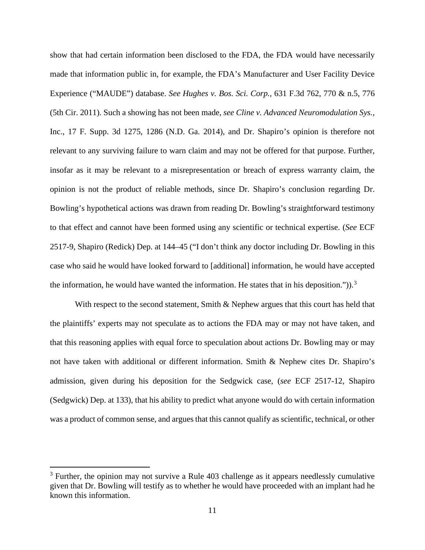show that had certain information been disclosed to the FDA, the FDA would have necessarily made that information public in, for example, the FDA's Manufacturer and User Facility Device Experience ("MAUDE") database. *See Hughes v. Bos. Sci. Corp.*, 631 F.3d 762, 770 & n.5, 776 (5th Cir. 2011). Such a showing has not been made, *see Cline v. Advanced Neuromodulation Sys.*, Inc., 17 F. Supp. 3d 1275, 1286 (N.D. Ga. 2014), and Dr. Shapiro's opinion is therefore not relevant to any surviving failure to warn claim and may not be offered for that purpose. Further, insofar as it may be relevant to a misrepresentation or breach of express warranty claim, the opinion is not the product of reliable methods, since Dr. Shapiro's conclusion regarding Dr. Bowling's hypothetical actions was drawn from reading Dr. Bowling's straightforward testimony to that effect and cannot have been formed using any scientific or technical expertise. (*See* ECF 2517-9, Shapiro (Redick) Dep. at 144–45 ("I don't think any doctor including Dr. Bowling in this case who said he would have looked forward to [additional] information, he would have accepted the information, he would have wanted the information. He states that in his deposition." $)$ ).<sup>[3](#page-10-0)</sup>

With respect to the second statement, Smith & Nephew argues that this court has held that the plaintiffs' experts may not speculate as to actions the FDA may or may not have taken, and that this reasoning applies with equal force to speculation about actions Dr. Bowling may or may not have taken with additional or different information. Smith & Nephew cites Dr. Shapiro's admission, given during his deposition for the Sedgwick case, (*see* ECF 2517-12, Shapiro (Sedgwick) Dep. at 133), that his ability to predict what anyone would do with certain information was a product of common sense, and argues that this cannot qualify as scientific, technical, or other

<span id="page-10-0"></span> $3$  Further, the opinion may not survive a Rule 403 challenge as it appears needlessly cumulative given that Dr. Bowling will testify as to whether he would have proceeded with an implant had he known this information.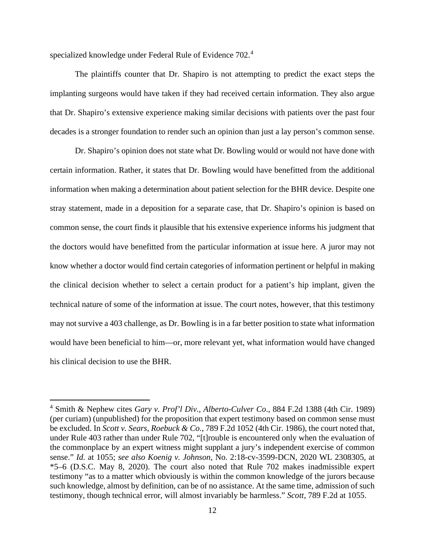specialized knowledge under Federal Rule of Evidence 702.[4](#page-11-0)

The plaintiffs counter that Dr. Shapiro is not attempting to predict the exact steps the implanting surgeons would have taken if they had received certain information. They also argue that Dr. Shapiro's extensive experience making similar decisions with patients over the past four decades is a stronger foundation to render such an opinion than just a lay person's common sense.

Dr. Shapiro's opinion does not state what Dr. Bowling would or would not have done with certain information. Rather, it states that Dr. Bowling would have benefitted from the additional information when making a determination about patient selection for the BHR device. Despite one stray statement, made in a deposition for a separate case, that Dr. Shapiro's opinion is based on common sense, the court finds it plausible that his extensive experience informs his judgment that the doctors would have benefitted from the particular information at issue here. A juror may not know whether a doctor would find certain categories of information pertinent or helpful in making the clinical decision whether to select a certain product for a patient's hip implant, given the technical nature of some of the information at issue. The court notes, however, that this testimony may not survive a 403 challenge, as Dr. Bowling is in a far better position to state what information would have been beneficial to him—or, more relevant yet, what information would have changed his clinical decision to use the BHR.

<span id="page-11-0"></span><sup>4</sup> Smith & Nephew cites *Gary v. Prof'l Div., Alberto-Culver Co*., 884 F.2d 1388 (4th Cir. 1989) (per curiam) (unpublished) for the proposition that expert testimony based on common sense must be excluded. In *Scott v. Sears, Roebuck & Co.*, 789 F.2d 1052 (4th Cir. 1986), the court noted that, under Rule 403 rather than under Rule 702, "[t]rouble is encountered only when the evaluation of the commonplace by an expert witness might supplant a jury's independent exercise of common sense." *Id.* at 1055; *see also Koenig v. Johnson*, No. 2:18-cv-3599-DCN, 2020 WL 2308305, at \*5–6 (D.S.C. May 8, 2020). The court also noted that Rule 702 makes inadmissible expert testimony "as to a matter which obviously is within the common knowledge of the jurors because such knowledge, almost by definition, can be of no assistance. At the same time, admission of such testimony, though technical error, will almost invariably be harmless." *Scott*, 789 F.2d at 1055.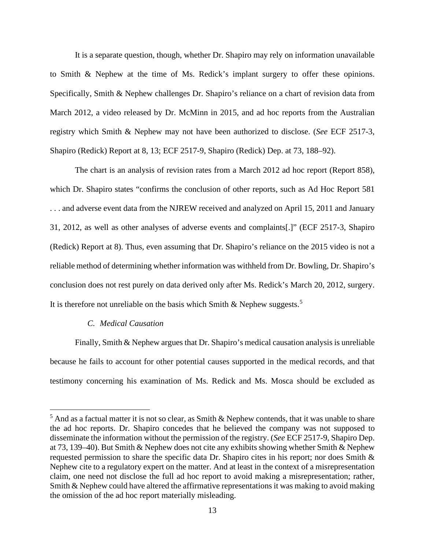It is a separate question, though, whether Dr. Shapiro may rely on information unavailable to Smith & Nephew at the time of Ms. Redick's implant surgery to offer these opinions. Specifically, Smith & Nephew challenges Dr. Shapiro's reliance on a chart of revision data from March 2012, a video released by Dr. McMinn in 2015, and ad hoc reports from the Australian registry which Smith & Nephew may not have been authorized to disclose. (*See* ECF 2517-3, Shapiro (Redick) Report at 8, 13; ECF 2517-9, Shapiro (Redick) Dep. at 73, 188–92).

The chart is an analysis of revision rates from a March 2012 ad hoc report (Report 858), which Dr. Shapiro states "confirms the conclusion of other reports, such as Ad Hoc Report 581 . . . and adverse event data from the NJREW received and analyzed on April 15, 2011 and January 31, 2012, as well as other analyses of adverse events and complaints[.]" (ECF 2517-3, Shapiro (Redick) Report at 8). Thus, even assuming that Dr. Shapiro's reliance on the 2015 video is not a reliable method of determining whether information was withheld from Dr. Bowling, Dr. Shapiro's conclusion does not rest purely on data derived only after Ms. Redick's March 20, 2012, surgery. It is therefore not unreliable on the basis which Smith & Nephew suggests.<sup>[5](#page-12-0)</sup>

## *C. Medical Causation*

Finally, Smith & Nephew argues that Dr. Shapiro's medical causation analysis is unreliable because he fails to account for other potential causes supported in the medical records, and that testimony concerning his examination of Ms. Redick and Ms. Mosca should be excluded as

<span id="page-12-0"></span> $<sup>5</sup>$  And as a factual matter it is not so clear, as Smith & Nephew contends, that it was unable to share</sup> the ad hoc reports. Dr. Shapiro concedes that he believed the company was not supposed to disseminate the information without the permission of the registry. (*See* ECF 2517-9, Shapiro Dep. at 73, 139–40). But Smith & Nephew does not cite any exhibits showing whether Smith & Nephew requested permission to share the specific data Dr. Shapiro cites in his report; nor does Smith & Nephew cite to a regulatory expert on the matter. And at least in the context of a misrepresentation claim, one need not disclose the full ad hoc report to avoid making a misrepresentation; rather, Smith & Nephew could have altered the affirmative representations it was making to avoid making the omission of the ad hoc report materially misleading.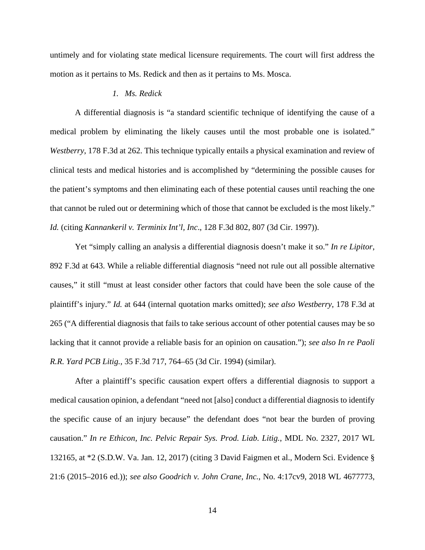untimely and for violating state medical licensure requirements. The court will first address the motion as it pertains to Ms. Redick and then as it pertains to Ms. Mosca.

## *1. Ms. Redick*

A differential diagnosis is "a standard scientific technique of identifying the cause of a medical problem by eliminating the likely causes until the most probable one is isolated." *Westberry*, 178 F.3d at 262. This technique typically entails a physical examination and review of clinical tests and medical histories and is accomplished by "determining the possible causes for the patient's symptoms and then eliminating each of these potential causes until reaching the one that cannot be ruled out or determining which of those that cannot be excluded is the most likely." *Id.* (citing *Kannankeril v. Terminix Int'l, Inc*., 128 F.3d 802, 807 (3d Cir. 1997)).

Yet "simply calling an analysis a differential diagnosis doesn't make it so." *In re Lipitor*, 892 F.3d at 643. While a reliable differential diagnosis "need not rule out all possible alternative causes," it still "must at least consider other factors that could have been the sole cause of the plaintiff's injury." *Id.* at 644 (internal quotation marks omitted); *see also Westberry*, 178 F.3d at 265 ("A differential diagnosis that fails to take serious account of other potential causes may be so lacking that it cannot provide a reliable basis for an opinion on causation."); *see also In re Paoli R.R. Yard PCB Litig.*, 35 F.3d 717, 764–65 (3d Cir. 1994) (similar).

After a plaintiff's specific causation expert offers a differential diagnosis to support a medical causation opinion, a defendant "need not [also] conduct a differential diagnosis to identify the specific cause of an injury because" the defendant does "not bear the burden of proving causation." *In re Ethicon, Inc. Pelvic Repair Sys. Prod. Liab. Litig.*, MDL No. 2327, 2017 WL 132165, at \*2 (S.D.W. Va. Jan. 12, 2017) (citing 3 David Faigmen et al., Modern Sci. Evidence § 21:6 (2015–2016 ed.)); *see also Goodrich v. John Crane, Inc.*, No. 4:17cv9, 2018 WL 4677773,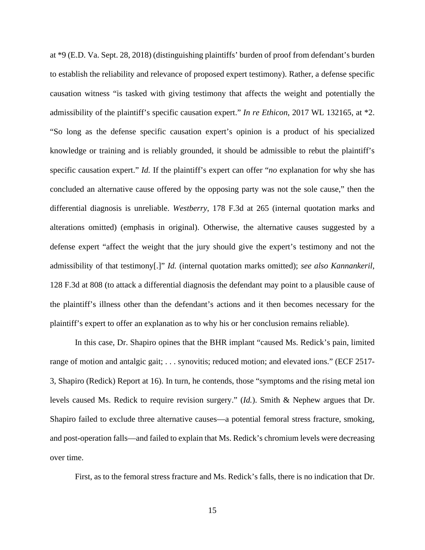at \*9 (E.D. Va. Sept. 28, 2018) (distinguishing plaintiffs' burden of proof from defendant's burden to establish the reliability and relevance of proposed expert testimony). Rather, a defense specific causation witness "is tasked with giving testimony that affects the weight and potentially the admissibility of the plaintiff's specific causation expert." *In re Ethicon*, 2017 WL 132165, at \*2. "So long as the defense specific causation expert's opinion is a product of his specialized knowledge or training and is reliably grounded, it should be admissible to rebut the plaintiff's specific causation expert." *Id.* If the plaintiff's expert can offer "*no* explanation for why she has concluded an alternative cause offered by the opposing party was not the sole cause," then the differential diagnosis is unreliable. *Westberry*, 178 F.3d at 265 (internal quotation marks and alterations omitted) (emphasis in original). Otherwise, the alternative causes suggested by a defense expert "affect the weight that the jury should give the expert's testimony and not the admissibility of that testimony[.]" *Id.* (internal quotation marks omitted); *see also Kannankeril*, 128 F.3d at 808 (to attack a differential diagnosis the defendant may point to a plausible cause of the plaintiff's illness other than the defendant's actions and it then becomes necessary for the plaintiff's expert to offer an explanation as to why his or her conclusion remains reliable).

In this case, Dr. Shapiro opines that the BHR implant "caused Ms. Redick's pain, limited range of motion and antalgic gait; . . . synovitis; reduced motion; and elevated ions." (ECF 2517-3, Shapiro (Redick) Report at 16). In turn, he contends, those "symptoms and the rising metal ion levels caused Ms. Redick to require revision surgery." (*Id.*). Smith & Nephew argues that Dr. Shapiro failed to exclude three alternative causes—a potential femoral stress fracture, smoking, and post-operation falls—and failed to explain that Ms. Redick's chromium levels were decreasing over time.

First, as to the femoral stress fracture and Ms. Redick's falls, there is no indication that Dr.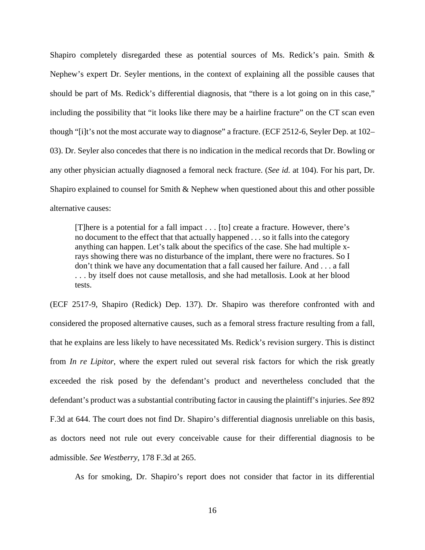Shapiro completely disregarded these as potential sources of Ms. Redick's pain. Smith & Nephew's expert Dr. Seyler mentions, in the context of explaining all the possible causes that should be part of Ms. Redick's differential diagnosis, that "there is a lot going on in this case," including the possibility that "it looks like there may be a hairline fracture" on the CT scan even though "[i]t's not the most accurate way to diagnose" a fracture. (ECF 2512-6, Seyler Dep. at 102– 03). Dr. Seyler also concedes that there is no indication in the medical records that Dr. Bowling or any other physician actually diagnosed a femoral neck fracture. (*See id.* at 104). For his part, Dr. Shapiro explained to counsel for Smith & Nephew when questioned about this and other possible alternative causes:

[T]here is a potential for a fall impact . . . [to] create a fracture. However, there's no document to the effect that that actually happened . . . so it falls into the category anything can happen. Let's talk about the specifics of the case. She had multiple xrays showing there was no disturbance of the implant, there were no fractures. So I don't think we have any documentation that a fall caused her failure. And . . . a fall . . . by itself does not cause metallosis, and she had metallosis. Look at her blood tests.

(ECF 2517-9, Shapiro (Redick) Dep. 137). Dr. Shapiro was therefore confronted with and considered the proposed alternative causes, such as a femoral stress fracture resulting from a fall, that he explains are less likely to have necessitated Ms. Redick's revision surgery. This is distinct from *In re Lipitor*, where the expert ruled out several risk factors for which the risk greatly exceeded the risk posed by the defendant's product and nevertheless concluded that the defendant's product was a substantial contributing factor in causing the plaintiff's injuries. *See* 892 F.3d at 644. The court does not find Dr. Shapiro's differential diagnosis unreliable on this basis, as doctors need not rule out every conceivable cause for their differential diagnosis to be admissible. *See Westberry*, 178 F.3d at 265.

As for smoking, Dr. Shapiro's report does not consider that factor in its differential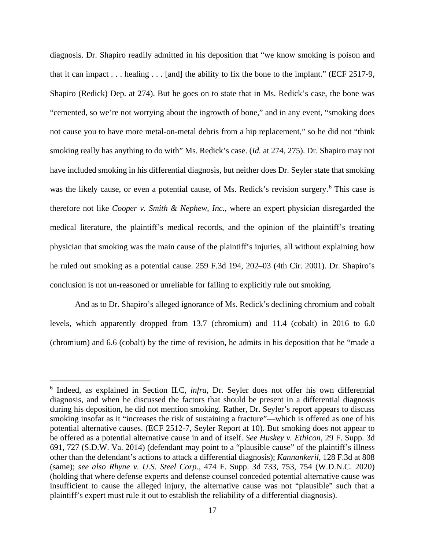diagnosis. Dr. Shapiro readily admitted in his deposition that "we know smoking is poison and that it can impact . . . healing . . . [and] the ability to fix the bone to the implant." (ECF 2517-9, Shapiro (Redick) Dep. at 274). But he goes on to state that in Ms. Redick's case, the bone was "cemented, so we're not worrying about the ingrowth of bone," and in any event, "smoking does not cause you to have more metal-on-metal debris from a hip replacement," so he did not "think smoking really has anything to do with" Ms. Redick's case. (*Id.* at 274, 275). Dr. Shapiro may not have included smoking in his differential diagnosis, but neither does Dr. Seyler state that smoking was the likely cause, or even a potential cause, of Ms. Redick's revision surgery.<sup>[6](#page-16-0)</sup> This case is therefore not like *Cooper v. Smith & Nephew, Inc.*, where an expert physician disregarded the medical literature, the plaintiff's medical records, and the opinion of the plaintiff's treating physician that smoking was the main cause of the plaintiff's injuries, all without explaining how he ruled out smoking as a potential cause. 259 F.3d 194, 202–03 (4th Cir. 2001). Dr. Shapiro's conclusion is not un-reasoned or unreliable for failing to explicitly rule out smoking.

And as to Dr. Shapiro's alleged ignorance of Ms. Redick's declining chromium and cobalt levels, which apparently dropped from 13.7 (chromium) and 11.4 (cobalt) in 2016 to 6.0 (chromium) and 6.6 (cobalt) by the time of revision, he admits in his deposition that he "made a

<span id="page-16-0"></span><sup>6</sup> Indeed, as explained in Section II.C, *infra*, Dr. Seyler does not offer his own differential diagnosis, and when he discussed the factors that should be present in a differential diagnosis during his deposition, he did not mention smoking. Rather, Dr. Seyler's report appears to discuss smoking insofar as it "increases the risk of sustaining a fracture"—which is offered as one of his potential alternative causes. (ECF 2512-7, Seyler Report at 10). But smoking does not appear to be offered as a potential alternative cause in and of itself. *See Huskey v. Ethicon*, 29 F. Supp. 3d 691, 727 (S.D.W. Va. 2014) (defendant may point to a "plausible cause" of the plaintiff's illness other than the defendant's actions to attack a differential diagnosis); *Kannankeril*, 128 F.3d at 808 (same); *see also Rhyne v. U.S. Steel Corp.*, 474 F. Supp. 3d 733, 753, 754 (W.D.N.C. 2020) (holding that where defense experts and defense counsel conceded potential alternative cause was insufficient to cause the alleged injury, the alternative cause was not "plausible" such that a plaintiff's expert must rule it out to establish the reliability of a differential diagnosis).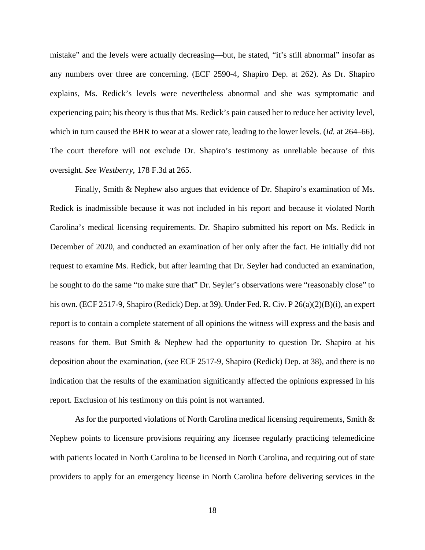mistake" and the levels were actually decreasing—but, he stated, "it's still abnormal" insofar as any numbers over three are concerning. (ECF 2590-4, Shapiro Dep. at 262). As Dr. Shapiro explains, Ms. Redick's levels were nevertheless abnormal and she was symptomatic and experiencing pain; his theory is thus that Ms. Redick's pain caused her to reduce her activity level, which in turn caused the BHR to wear at a slower rate, leading to the lower levels. (*Id.* at 264–66). The court therefore will not exclude Dr. Shapiro's testimony as unreliable because of this oversight. *See Westberry*, 178 F.3d at 265.

Finally, Smith & Nephew also argues that evidence of Dr. Shapiro's examination of Ms. Redick is inadmissible because it was not included in his report and because it violated North Carolina's medical licensing requirements. Dr. Shapiro submitted his report on Ms. Redick in December of 2020, and conducted an examination of her only after the fact. He initially did not request to examine Ms. Redick, but after learning that Dr. Seyler had conducted an examination, he sought to do the same "to make sure that" Dr. Seyler's observations were "reasonably close" to his own. (ECF 2517-9, Shapiro (Redick) Dep. at 39). Under Fed. R. Civ. P 26(a)(2)(B)(i), an expert report is to contain a complete statement of all opinions the witness will express and the basis and reasons for them. But Smith & Nephew had the opportunity to question Dr. Shapiro at his deposition about the examination, (*see* ECF 2517-9, Shapiro (Redick) Dep. at 38), and there is no indication that the results of the examination significantly affected the opinions expressed in his report. Exclusion of his testimony on this point is not warranted.

As for the purported violations of North Carolina medical licensing requirements, Smith  $\&$ Nephew points to licensure provisions requiring any licensee regularly practicing telemedicine with patients located in North Carolina to be licensed in North Carolina, and requiring out of state providers to apply for an emergency license in North Carolina before delivering services in the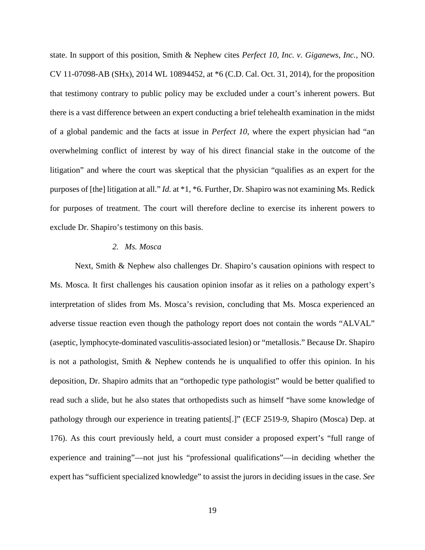state. In support of this position, Smith & Nephew cites *Perfect 10, Inc. v. Giganews, Inc.*, NO. CV 11-07098-AB (SHx), 2014 WL 10894452, at \*6 (C.D. Cal. Oct. 31, 2014), for the proposition that testimony contrary to public policy may be excluded under a court's inherent powers. But there is a vast difference between an expert conducting a brief telehealth examination in the midst of a global pandemic and the facts at issue in *Perfect 10*, where the expert physician had "an overwhelming conflict of interest by way of his direct financial stake in the outcome of the litigation" and where the court was skeptical that the physician "qualifies as an expert for the purposes of [the] litigation at all." *Id.* at \*1, \*6. Further, Dr. Shapiro was not examining Ms. Redick for purposes of treatment. The court will therefore decline to exercise its inherent powers to exclude Dr. Shapiro's testimony on this basis.

### *2. Ms. Mosca*

Next, Smith & Nephew also challenges Dr. Shapiro's causation opinions with respect to Ms. Mosca. It first challenges his causation opinion insofar as it relies on a pathology expert's interpretation of slides from Ms. Mosca's revision, concluding that Ms. Mosca experienced an adverse tissue reaction even though the pathology report does not contain the words "ALVAL" (aseptic, lymphocyte-dominated vasculitis-associated lesion) or "metallosis." Because Dr. Shapiro is not a pathologist, Smith & Nephew contends he is unqualified to offer this opinion. In his deposition, Dr. Shapiro admits that an "orthopedic type pathologist" would be better qualified to read such a slide, but he also states that orthopedists such as himself "have some knowledge of pathology through our experience in treating patients[.]" (ECF 2519-9, Shapiro (Mosca) Dep. at 176). As this court previously held, a court must consider a proposed expert's "full range of experience and training"—not just his "professional qualifications"—in deciding whether the expert has "sufficient specialized knowledge" to assist the jurors in deciding issues in the case. *See*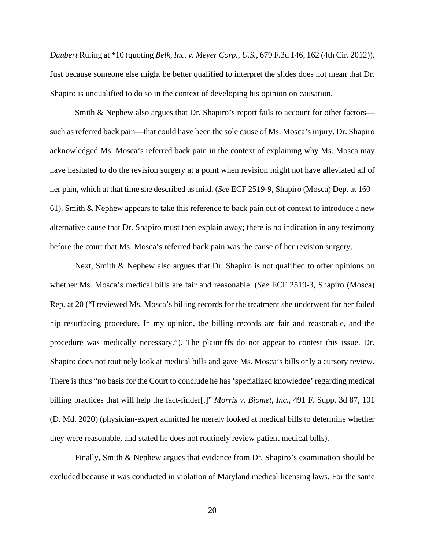*Daubert* Ruling at \*10 (quoting *Belk, Inc. v. Meyer Corp., U.S.*, 679 F.3d 146, 162 (4th Cir. 2012)). Just because someone else might be better qualified to interpret the slides does not mean that Dr. Shapiro is unqualified to do so in the context of developing his opinion on causation.

Smith & Nephew also argues that Dr. Shapiro's report fails to account for other factors such as referred back pain—that could have been the sole cause of Ms. Mosca's injury. Dr. Shapiro acknowledged Ms. Mosca's referred back pain in the context of explaining why Ms. Mosca may have hesitated to do the revision surgery at a point when revision might not have alleviated all of her pain, which at that time she described as mild. (*See* ECF 2519-9, Shapiro (Mosca) Dep. at 160– 61). Smith & Nephew appears to take this reference to back pain out of context to introduce a new alternative cause that Dr. Shapiro must then explain away; there is no indication in any testimony before the court that Ms. Mosca's referred back pain was the cause of her revision surgery.

Next, Smith & Nephew also argues that Dr. Shapiro is not qualified to offer opinions on whether Ms. Mosca's medical bills are fair and reasonable. (*See* ECF 2519-3, Shapiro (Mosca) Rep. at 20 ("I reviewed Ms. Mosca's billing records for the treatment she underwent for her failed hip resurfacing procedure. In my opinion, the billing records are fair and reasonable, and the procedure was medically necessary."). The plaintiffs do not appear to contest this issue. Dr. Shapiro does not routinely look at medical bills and gave Ms. Mosca's bills only a cursory review. There is thus "no basis for the Court to conclude he has 'specialized knowledge' regarding medical billing practices that will help the fact-finder[.]" *Morris v. Biomet*, *Inc.*, 491 F. Supp. 3d 87, 101 (D. Md. 2020) (physician-expert admitted he merely looked at medical bills to determine whether they were reasonable, and stated he does not routinely review patient medical bills).

Finally, Smith & Nephew argues that evidence from Dr. Shapiro's examination should be excluded because it was conducted in violation of Maryland medical licensing laws. For the same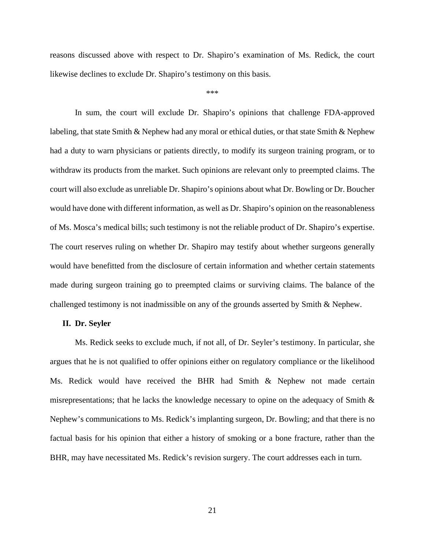reasons discussed above with respect to Dr. Shapiro's examination of Ms. Redick, the court likewise declines to exclude Dr. Shapiro's testimony on this basis.

\*\*\*

In sum, the court will exclude Dr. Shapiro's opinions that challenge FDA-approved labeling, that state Smith & Nephew had any moral or ethical duties, or that state Smith & Nephew had a duty to warn physicians or patients directly, to modify its surgeon training program, or to withdraw its products from the market. Such opinions are relevant only to preempted claims. The court will also exclude as unreliable Dr. Shapiro's opinions about what Dr. Bowling or Dr. Boucher would have done with different information, as well as Dr. Shapiro's opinion on the reasonableness of Ms. Mosca's medical bills; such testimony is not the reliable product of Dr. Shapiro's expertise. The court reserves ruling on whether Dr. Shapiro may testify about whether surgeons generally would have benefitted from the disclosure of certain information and whether certain statements made during surgeon training go to preempted claims or surviving claims. The balance of the challenged testimony is not inadmissible on any of the grounds asserted by Smith & Nephew.

#### **II. Dr. Seyler**

Ms. Redick seeks to exclude much, if not all, of Dr. Seyler's testimony. In particular, she argues that he is not qualified to offer opinions either on regulatory compliance or the likelihood Ms. Redick would have received the BHR had Smith & Nephew not made certain misrepresentations; that he lacks the knowledge necessary to opine on the adequacy of Smith & Nephew's communications to Ms. Redick's implanting surgeon, Dr. Bowling; and that there is no factual basis for his opinion that either a history of smoking or a bone fracture, rather than the BHR, may have necessitated Ms. Redick's revision surgery. The court addresses each in turn.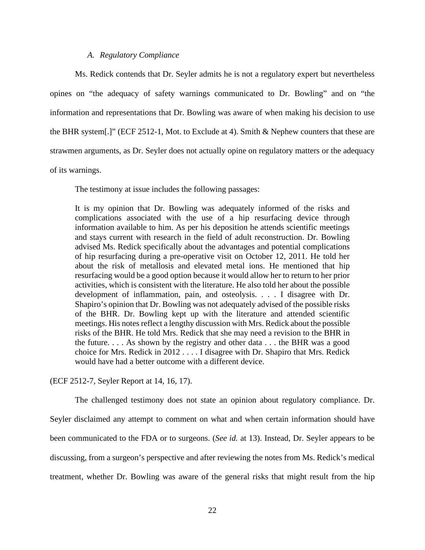## *A. Regulatory Compliance*

Ms. Redick contends that Dr. Seyler admits he is not a regulatory expert but nevertheless opines on "the adequacy of safety warnings communicated to Dr. Bowling" and on "the information and representations that Dr. Bowling was aware of when making his decision to use the BHR system[.]" (ECF 2512-1, Mot. to Exclude at 4). Smith & Nephew counters that these are strawmen arguments, as Dr. Seyler does not actually opine on regulatory matters or the adequacy of its warnings.

The testimony at issue includes the following passages:

It is my opinion that Dr. Bowling was adequately informed of the risks and complications associated with the use of a hip resurfacing device through information available to him. As per his deposition he attends scientific meetings and stays current with research in the field of adult reconstruction. Dr. Bowling advised Ms. Redick specifically about the advantages and potential complications of hip resurfacing during a pre-operative visit on October 12, 2011. He told her about the risk of metallosis and elevated metal ions. He mentioned that hip resurfacing would be a good option because it would allow her to return to her prior activities, which is consistent with the literature. He also told her about the possible development of inflammation, pain, and osteolysis. . . . I disagree with Dr. Shapiro's opinion that Dr. Bowling was not adequately advised of the possible risks of the BHR. Dr. Bowling kept up with the literature and attended scientific meetings. His notes reflect a lengthy discussion with Mrs. Redick about the possible risks of the BHR. He told Mrs. Redick that she may need a revision to the BHR in the future. . . . As shown by the registry and other data . . . the BHR was a good choice for Mrs. Redick in 2012 . . . . I disagree with Dr. Shapiro that Mrs. Redick would have had a better outcome with a different device.

(ECF 2512-7, Seyler Report at 14, 16, 17).

The challenged testimony does not state an opinion about regulatory compliance. Dr. Seyler disclaimed any attempt to comment on what and when certain information should have been communicated to the FDA or to surgeons. (*See id.* at 13). Instead, Dr. Seyler appears to be discussing, from a surgeon's perspective and after reviewing the notes from Ms. Redick's medical treatment, whether Dr. Bowling was aware of the general risks that might result from the hip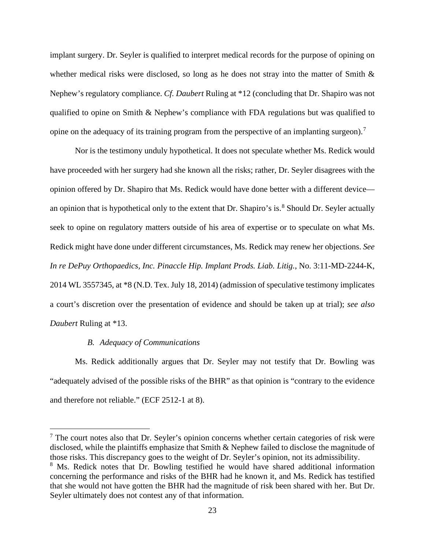implant surgery. Dr. Seyler is qualified to interpret medical records for the purpose of opining on whether medical risks were disclosed, so long as he does not stray into the matter of Smith & Nephew's regulatory compliance. *Cf. Daubert* Ruling at \*12 (concluding that Dr. Shapiro was not qualified to opine on Smith & Nephew's compliance with FDA regulations but was qualified to opine on the adequacy of its training program from the perspective of an implanting surgeon).<sup>[7](#page-22-0)</sup>

Nor is the testimony unduly hypothetical. It does not speculate whether Ms. Redick would have proceeded with her surgery had she known all the risks; rather, Dr. Seyler disagrees with the opinion offered by Dr. Shapiro that Ms. Redick would have done better with a different device— an opinion that is hypothetical only to the extent that Dr. Shapiro's is.<sup>[8](#page-22-1)</sup> Should Dr. Seyler actually seek to opine on regulatory matters outside of his area of expertise or to speculate on what Ms. Redick might have done under different circumstances, Ms. Redick may renew her objections. *See In re DePuy Orthopaedics, Inc. Pinaccle Hip. Implant Prods. Liab. Litig.*, No. 3:11-MD-2244-K, 2014 WL 3557345, at \*8 (N.D. Tex. July 18, 2014) (admission of speculative testimony implicates a court's discretion over the presentation of evidence and should be taken up at trial); *see also Daubert* Ruling at \*13.

#### *B. Adequacy of Communications*

Ms. Redick additionally argues that Dr. Seyler may not testify that Dr. Bowling was "adequately advised of the possible risks of the BHR" as that opinion is "contrary to the evidence and therefore not reliable." (ECF 2512-1 at 8).

<span id="page-22-0"></span> $<sup>7</sup>$  The court notes also that Dr. Seyler's opinion concerns whether certain categories of risk were</sup> disclosed, while the plaintiffs emphasize that Smith & Nephew failed to disclose the magnitude of those risks. This discrepancy goes to the weight of Dr. Seyler's opinion, not its admissibility. <sup>8</sup> Ms. Redick notes that Dr. Bowling testified he would have shared additional information

<span id="page-22-1"></span>concerning the performance and risks of the BHR had he known it, and Ms. Redick has testified that she would not have gotten the BHR had the magnitude of risk been shared with her. But Dr. Seyler ultimately does not contest any of that information.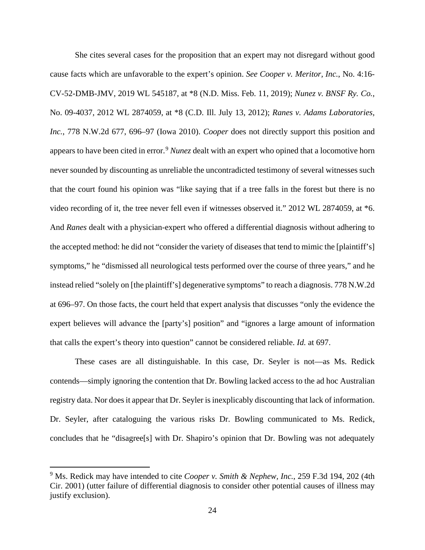She cites several cases for the proposition that an expert may not disregard without good cause facts which are unfavorable to the expert's opinion. *See Cooper v. Meritor, Inc.*, No. 4:16- CV-52-DMB-JMV, 2019 WL 545187, at \*8 (N.D. Miss. Feb. 11, 2019); *Nunez v. BNSF Ry. Co.*, No. 09-4037, 2012 WL 2874059, at \*8 (C.D. Ill. July 13, 2012); *Ranes v. Adams Laboratories, Inc.*, 778 N.W.2d 677, 696–97 (Iowa 2010). *Cooper* does not directly support this position and appears to have been cited in error.<sup>[9](#page-23-0)</sup> *Nunez* dealt with an expert who opined that a locomotive horn never sounded by discounting as unreliable the uncontradicted testimony of several witnesses such that the court found his opinion was "like saying that if a tree falls in the forest but there is no video recording of it, the tree never fell even if witnesses observed it." 2012 WL 2874059, at \*6. And *Ranes* dealt with a physician-expert who offered a differential diagnosis without adhering to the accepted method: he did not "consider the variety of diseases that tend to mimic the [plaintiff's] symptoms," he "dismissed all neurological tests performed over the course of three years," and he instead relied "solely on [the plaintiff's] degenerative symptoms" to reach a diagnosis. 778 N.W.2d at 696–97. On those facts, the court held that expert analysis that discusses "only the evidence the expert believes will advance the [party's] position" and "ignores a large amount of information that calls the expert's theory into question" cannot be considered reliable. *Id.* at 697.

These cases are all distinguishable. In this case, Dr. Seyler is not—as Ms. Redick contends—simply ignoring the contention that Dr. Bowling lacked access to the ad hoc Australian registry data. Nor does it appear that Dr. Seyler is inexplicably discounting that lack of information. Dr. Seyler, after cataloguing the various risks Dr. Bowling communicated to Ms. Redick, concludes that he "disagree[s] with Dr. Shapiro's opinion that Dr. Bowling was not adequately

<span id="page-23-0"></span><sup>9</sup> Ms. Redick may have intended to cite *Cooper v. Smith & Nephew, Inc.*, 259 F.3d 194, 202 (4th Cir. 2001) (utter failure of differential diagnosis to consider other potential causes of illness may justify exclusion).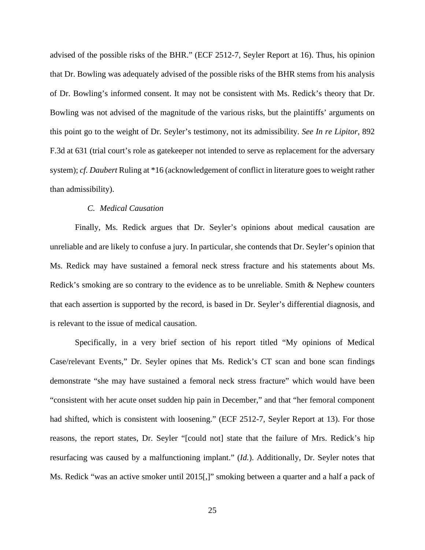advised of the possible risks of the BHR." (ECF 2512-7, Seyler Report at 16). Thus, his opinion that Dr. Bowling was adequately advised of the possible risks of the BHR stems from his analysis of Dr. Bowling's informed consent. It may not be consistent with Ms. Redick's theory that Dr. Bowling was not advised of the magnitude of the various risks, but the plaintiffs' arguments on this point go to the weight of Dr. Seyler's testimony, not its admissibility. *See In re Lipitor*, 892 F.3d at 631 (trial court's role as gatekeeper not intended to serve as replacement for the adversary system); *cf. Daubert* Ruling at \*16 (acknowledgement of conflict in literature goes to weight rather than admissibility).

## *C. Medical Causation*

Finally, Ms. Redick argues that Dr. Seyler's opinions about medical causation are unreliable and are likely to confuse a jury. In particular, she contends that Dr. Seyler's opinion that Ms. Redick may have sustained a femoral neck stress fracture and his statements about Ms. Redick's smoking are so contrary to the evidence as to be unreliable. Smith & Nephew counters that each assertion is supported by the record, is based in Dr. Seyler's differential diagnosis, and is relevant to the issue of medical causation.

Specifically, in a very brief section of his report titled "My opinions of Medical Case/relevant Events," Dr. Seyler opines that Ms. Redick's CT scan and bone scan findings demonstrate "she may have sustained a femoral neck stress fracture" which would have been "consistent with her acute onset sudden hip pain in December," and that "her femoral component had shifted, which is consistent with loosening." (ECF 2512-7, Seyler Report at 13). For those reasons, the report states, Dr. Seyler "[could not] state that the failure of Mrs. Redick's hip resurfacing was caused by a malfunctioning implant." (*Id.*). Additionally, Dr. Seyler notes that Ms. Redick "was an active smoker until 2015[,]" smoking between a quarter and a half a pack of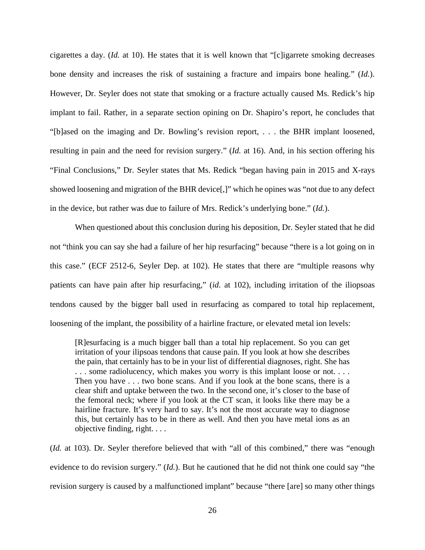cigarettes a day. (*Id.* at 10). He states that it is well known that "[c]igarrete smoking decreases bone density and increases the risk of sustaining a fracture and impairs bone healing." (*Id.*). However, Dr. Seyler does not state that smoking or a fracture actually caused Ms. Redick's hip implant to fail. Rather, in a separate section opining on Dr. Shapiro's report, he concludes that "[b]ased on the imaging and Dr. Bowling's revision report, . . . the BHR implant loosened, resulting in pain and the need for revision surgery." (*Id.* at 16). And, in his section offering his "Final Conclusions," Dr. Seyler states that Ms. Redick "began having pain in 2015 and X-rays showed loosening and migration of the BHR device[,]" which he opines was "not due to any defect in the device, but rather was due to failure of Mrs. Redick's underlying bone." (*Id.*).

When questioned about this conclusion during his deposition, Dr. Seyler stated that he did not "think you can say she had a failure of her hip resurfacing" because "there is a lot going on in this case." (ECF 2512-6, Seyler Dep. at 102). He states that there are "multiple reasons why patients can have pain after hip resurfacing," (*id.* at 102), including irritation of the iliopsoas tendons caused by the bigger ball used in resurfacing as compared to total hip replacement, loosening of the implant, the possibility of a hairline fracture, or elevated metal ion levels:

[R]esurfacing is a much bigger ball than a total hip replacement. So you can get irritation of your ilipsoas tendons that cause pain. If you look at how she describes the pain, that certainly has to be in your list of differential diagnoses, right. She has . . . some radiolucency, which makes you worry is this implant loose or not. . . . Then you have . . . two bone scans. And if you look at the bone scans, there is a clear shift and uptake between the two. In the second one, it's closer to the base of the femoral neck; where if you look at the CT scan, it looks like there may be a hairline fracture. It's very hard to say. It's not the most accurate way to diagnose this, but certainly has to be in there as well. And then you have metal ions as an objective finding, right. . . .

(*Id.* at 103). Dr. Seyler therefore believed that with "all of this combined," there was "enough evidence to do revision surgery." (*Id.*). But he cautioned that he did not think one could say "the revision surgery is caused by a malfunctioned implant" because "there [are] so many other things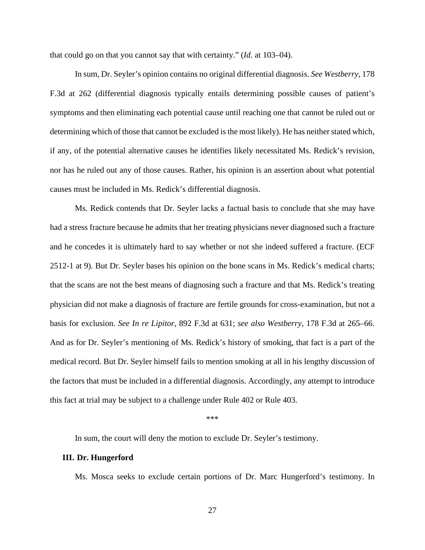that could go on that you cannot say that with certainty." (*Id.* at 103–04).

In sum, Dr. Seyler's opinion contains no original differential diagnosis. *See Westberry*, 178 F.3d at 262 (differential diagnosis typically entails determining possible causes of patient's symptoms and then eliminating each potential cause until reaching one that cannot be ruled out or determining which of those that cannot be excluded is the most likely). He has neither stated which, if any, of the potential alternative causes he identifies likely necessitated Ms. Redick's revision, nor has he ruled out any of those causes. Rather, his opinion is an assertion about what potential causes must be included in Ms. Redick's differential diagnosis.

Ms. Redick contends that Dr. Seyler lacks a factual basis to conclude that she may have had a stress fracture because he admits that her treating physicians never diagnosed such a fracture and he concedes it is ultimately hard to say whether or not she indeed suffered a fracture. (ECF 2512-1 at 9). But Dr. Seyler bases his opinion on the bone scans in Ms. Redick's medical charts; that the scans are not the best means of diagnosing such a fracture and that Ms. Redick's treating physician did not make a diagnosis of fracture are fertile grounds for cross-examination, but not a basis for exclusion. *See In re Lipitor*, 892 F.3d at 631; *see also Westberry*, 178 F.3d at 265–66. And as for Dr. Seyler's mentioning of Ms. Redick's history of smoking, that fact is a part of the medical record. But Dr. Seyler himself fails to mention smoking at all in his lengthy discussion of the factors that must be included in a differential diagnosis. Accordingly, any attempt to introduce this fact at trial may be subject to a challenge under Rule 402 or Rule 403.

\*\*\*

In sum, the court will deny the motion to exclude Dr. Seyler's testimony.

#### **III. Dr. Hungerford**

Ms. Mosca seeks to exclude certain portions of Dr. Marc Hungerford's testimony. In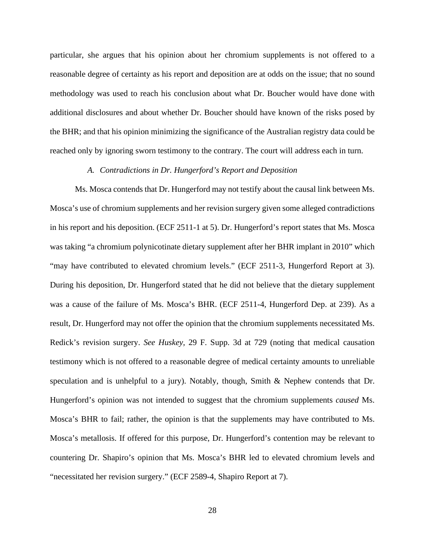particular, she argues that his opinion about her chromium supplements is not offered to a reasonable degree of certainty as his report and deposition are at odds on the issue; that no sound methodology was used to reach his conclusion about what Dr. Boucher would have done with additional disclosures and about whether Dr. Boucher should have known of the risks posed by the BHR; and that his opinion minimizing the significance of the Australian registry data could be reached only by ignoring sworn testimony to the contrary. The court will address each in turn.

## *A. Contradictions in Dr. Hungerford's Report and Deposition*

Ms. Mosca contends that Dr. Hungerford may not testify about the causal link between Ms. Mosca's use of chromium supplements and her revision surgery given some alleged contradictions in his report and his deposition. (ECF 2511-1 at 5). Dr. Hungerford's report states that Ms. Mosca was taking "a chromium polynicotinate dietary supplement after her BHR implant in 2010" which "may have contributed to elevated chromium levels." (ECF 2511-3, Hungerford Report at 3). During his deposition, Dr. Hungerford stated that he did not believe that the dietary supplement was a cause of the failure of Ms. Mosca's BHR. (ECF 2511-4, Hungerford Dep. at 239). As a result, Dr. Hungerford may not offer the opinion that the chromium supplements necessitated Ms. Redick's revision surgery. *See Huskey,* 29 F. Supp. 3d at 729 (noting that medical causation testimony which is not offered to a reasonable degree of medical certainty amounts to unreliable speculation and is unhelpful to a jury). Notably, though, Smith & Nephew contends that Dr. Hungerford's opinion was not intended to suggest that the chromium supplements *caused* Ms. Mosca's BHR to fail; rather, the opinion is that the supplements may have contributed to Ms. Mosca's metallosis. If offered for this purpose, Dr. Hungerford's contention may be relevant to countering Dr. Shapiro's opinion that Ms. Mosca's BHR led to elevated chromium levels and "necessitated her revision surgery." (ECF 2589-4, Shapiro Report at 7).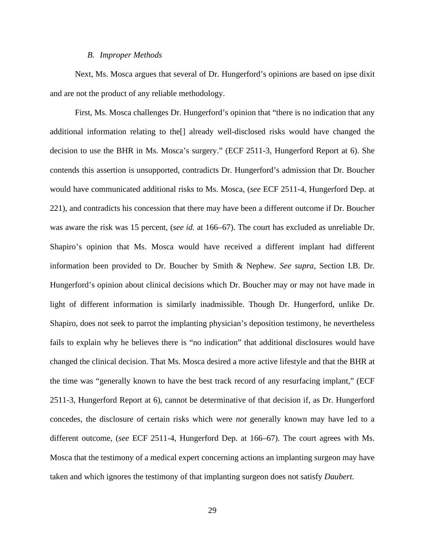#### *B. Improper Methods*

Next, Ms. Mosca argues that several of Dr. Hungerford's opinions are based on ipse dixit and are not the product of any reliable methodology.

First, Ms. Mosca challenges Dr. Hungerford's opinion that "there is no indication that any additional information relating to the[] already well-disclosed risks would have changed the decision to use the BHR in Ms. Mosca's surgery." (ECF 2511-3, Hungerford Report at 6). She contends this assertion is unsupported, contradicts Dr. Hungerford's admission that Dr. Boucher would have communicated additional risks to Ms. Mosca, (*see* ECF 2511-4, Hungerford Dep. at 221), and contradicts his concession that there may have been a different outcome if Dr. Boucher was aware the risk was 15 percent, (*see id.* at 166–67). The court has excluded as unreliable Dr. Shapiro's opinion that Ms. Mosca would have received a different implant had different information been provided to Dr. Boucher by Smith & Nephew. *See supra*, Section I.B. Dr. Hungerford's opinion about clinical decisions which Dr. Boucher may or may not have made in light of different information is similarly inadmissible. Though Dr. Hungerford, unlike Dr. Shapiro, does not seek to parrot the implanting physician's deposition testimony, he nevertheless fails to explain why he believes there is "no indication" that additional disclosures would have changed the clinical decision. That Ms. Mosca desired a more active lifestyle and that the BHR at the time was "generally known to have the best track record of any resurfacing implant," (ECF 2511-3, Hungerford Report at 6), cannot be determinative of that decision if, as Dr. Hungerford concedes, the disclosure of certain risks which were *not* generally known may have led to a different outcome, (*see* ECF 2511-4, Hungerford Dep. at 166–67). The court agrees with Ms. Mosca that the testimony of a medical expert concerning actions an implanting surgeon may have taken and which ignores the testimony of that implanting surgeon does not satisfy *Daubert*.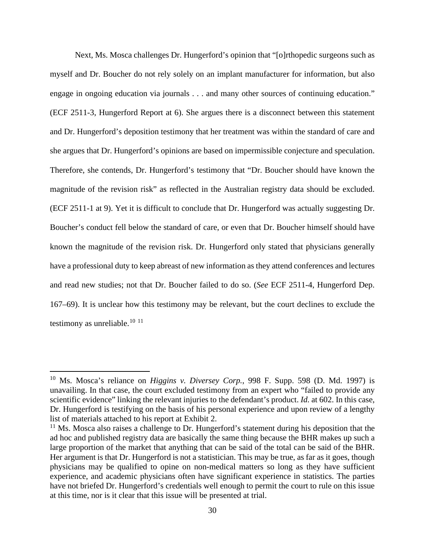Next, Ms. Mosca challenges Dr. Hungerford's opinion that "[o]rthopedic surgeons such as myself and Dr. Boucher do not rely solely on an implant manufacturer for information, but also engage in ongoing education via journals . . . and many other sources of continuing education." (ECF 2511-3, Hungerford Report at 6). She argues there is a disconnect between this statement and Dr. Hungerford's deposition testimony that her treatment was within the standard of care and she argues that Dr. Hungerford's opinions are based on impermissible conjecture and speculation. Therefore, she contends, Dr. Hungerford's testimony that "Dr. Boucher should have known the magnitude of the revision risk" as reflected in the Australian registry data should be excluded. (ECF 2511-1 at 9). Yet it is difficult to conclude that Dr. Hungerford was actually suggesting Dr. Boucher's conduct fell below the standard of care, or even that Dr. Boucher himself should have known the magnitude of the revision risk. Dr. Hungerford only stated that physicians generally have a professional duty to keep abreast of new information as they attend conferences and lectures and read new studies; not that Dr. Boucher failed to do so. (*See* ECF 2511-4, Hungerford Dep. 167–69). It is unclear how this testimony may be relevant, but the court declines to exclude the testimony as unreliable. $10^{-11}$  $10^{-11}$  $10^{-11}$  $10^{-11}$ 

<span id="page-29-0"></span><sup>10</sup> Ms. Mosca's reliance on *Higgins v. Diversey Corp.*, 998 F. Supp. 598 (D. Md. 1997) is unavailing. In that case, the court excluded testimony from an expert who "failed to provide any scientific evidence" linking the relevant injuries to the defendant's product. *Id.* at 602. In this case, Dr. Hungerford is testifying on the basis of his personal experience and upon review of a lengthy list of materials attached to his report at Exhibit 2.

<span id="page-29-1"></span><sup>&</sup>lt;sup>11</sup> Ms. Mosca also raises a challenge to Dr. Hungerford's statement during his deposition that the ad hoc and published registry data are basically the same thing because the BHR makes up such a large proportion of the market that anything that can be said of the total can be said of the BHR. Her argument is that Dr. Hungerford is not a statistician. This may be true, as far as it goes, though physicians may be qualified to opine on non-medical matters so long as they have sufficient experience, and academic physicians often have significant experience in statistics. The parties have not briefed Dr. Hungerford's credentials well enough to permit the court to rule on this issue at this time, nor is it clear that this issue will be presented at trial.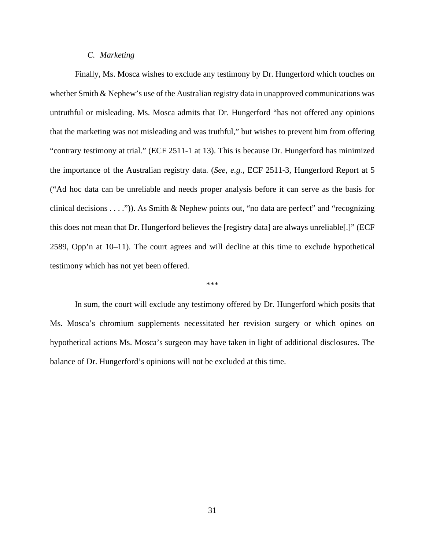## *C. Marketing*

Finally, Ms. Mosca wishes to exclude any testimony by Dr. Hungerford which touches on whether Smith & Nephew's use of the Australian registry data in unapproved communications was untruthful or misleading. Ms. Mosca admits that Dr. Hungerford "has not offered any opinions that the marketing was not misleading and was truthful," but wishes to prevent him from offering "contrary testimony at trial." (ECF 2511-1 at 13). This is because Dr. Hungerford has minimized the importance of the Australian registry data. (*See, e.g.*, ECF 2511-3, Hungerford Report at 5 ("Ad hoc data can be unreliable and needs proper analysis before it can serve as the basis for clinical decisions  $\dots$ .")). As Smith & Nephew points out, "no data are perfect" and "recognizing this does not mean that Dr. Hungerford believes the [registry data] are always unreliable[.]" (ECF 2589, Opp'n at 10–11). The court agrees and will decline at this time to exclude hypothetical testimony which has not yet been offered.

#### \*\*\*

In sum, the court will exclude any testimony offered by Dr. Hungerford which posits that Ms. Mosca's chromium supplements necessitated her revision surgery or which opines on hypothetical actions Ms. Mosca's surgeon may have taken in light of additional disclosures. The balance of Dr. Hungerford's opinions will not be excluded at this time.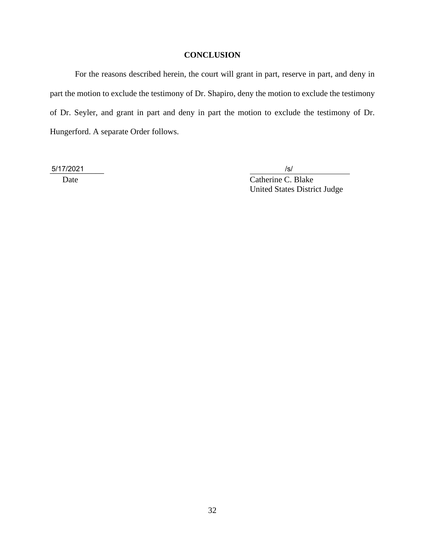# **CONCLUSION**

For the reasons described herein, the court will grant in part, reserve in part, and deny in part the motion to exclude the testimony of Dr. Shapiro, deny the motion to exclude the testimony of Dr. Seyler, and grant in part and deny in part the motion to exclude the testimony of Dr. Hungerford. A separate Order follows.

\_\_\_\_\_\_\_\_\_\_\_\_\_ 5/17/2021 /s/

Date Catherine C. Blake United States District Judge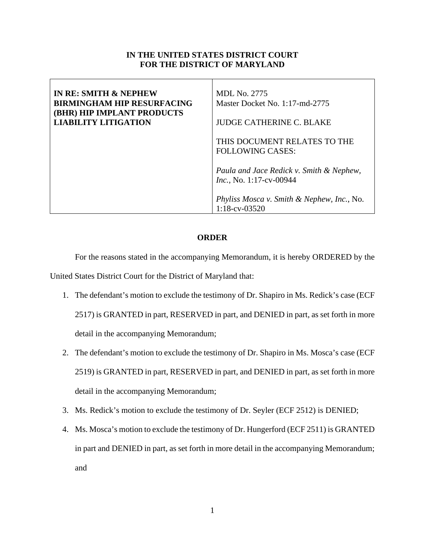# **IN THE UNITED STATES DISTRICT COURT FOR THE DISTRICT OF MARYLAND**

| IN RE: SMITH & NEPHEW<br><b>BIRMINGHAM HIP RESURFACING</b><br><b>(BHR) HIP IMPLANT PRODUCTS</b><br><b>LIABILITY LITIGATION</b> | MDL No. 2775<br>Master Docket No. 1:17-md-2775<br><b>JUDGE CATHERINE C. BLAKE</b> |
|--------------------------------------------------------------------------------------------------------------------------------|-----------------------------------------------------------------------------------|
|                                                                                                                                | THIS DOCUMENT RELATES TO THE<br><b>FOLLOWING CASES:</b>                           |
|                                                                                                                                | Paula and Jace Redick v. Smith & Nephew,<br><i>Inc.</i> , No. 1:17-cv-00944       |
|                                                                                                                                | <i>Phyliss Mosca v. Smith &amp; Nephew, Inc., No.</i><br>$1:18$ -cv-03520         |

## **ORDER**

For the reasons stated in the accompanying Memorandum, it is hereby ORDERED by the United States District Court for the District of Maryland that:

- 1. The defendant's motion to exclude the testimony of Dr. Shapiro in Ms. Redick's case (ECF 2517) is GRANTED in part, RESERVED in part, and DENIED in part, as set forth in more detail in the accompanying Memorandum;
- 2. The defendant's motion to exclude the testimony of Dr. Shapiro in Ms. Mosca's case (ECF 2519) is GRANTED in part, RESERVED in part, and DENIED in part, as set forth in more detail in the accompanying Memorandum;
- 3. Ms. Redick's motion to exclude the testimony of Dr. Seyler (ECF 2512) is DENIED;
- 4. Ms. Mosca's motion to exclude the testimony of Dr. Hungerford (ECF 2511) is GRANTED in part and DENIED in part, as set forth in more detail in the accompanying Memorandum; and